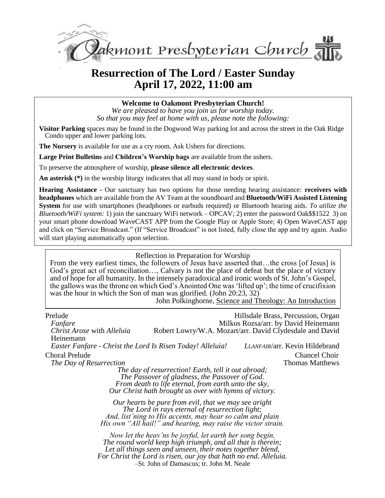

# **Resurrection of The Lord / Easter Sunday April 17, 2022, 11:00 am**

**Welcome to Oakmont Presbyterian Church!**

*We are pleased to have you join us for worship today. So that you may feel at home with us, please note the following:*

**Visitor Parking** spaces may be found in the Dogwood Way parking lot and across the street in the Oak Ridge Condo upper and lower parking lots.

**The Nursery** is available for use as a cry room. Ask Ushers for directions.

**Large Print Bulletins** and **Children's Worship bags** are available from the ushers.

To preserve the atmosphere of worship, **please silence all electronic devices**.

**An asterisk (\*)** in the worship liturgy indicates that all may stand in body or spirit.

**Hearing Assistance -** Our sanctuary has two options for those needing hearing assistance: **receivers with headphones** which are available from the AV Team at the soundboard and **Bluetooth/WiFi Assisted Listening System** for use with smartphones (headphones or earbuds required) or Bluetooth hearing aids. *To utilize the Bluetooth/WiFi system:* 1) join the sanctuary WiFi network – OPCAV; 2) enter the password Oak\$\$1522 3) on your smart phone download WaveCAST APP from the Google Play or Apple Store; 4) Open WaveCAST app and click on "Service Broadcast." (If "Service Broadcast" is not listed, fully close the app and try again. Audio will start playing automatically upon selection.

#### Reflection in Preparation for Worship

From the very earliest times, the followers of Jesus have asserted that...the cross [of Jesus] is God's great act of reconciliation…, Calvary is not the place of defeat but the place of victory and of hope for all humanity. In the intensely paradoxical and ironic words of St. John's Gospel, the gallows was the throne on which God's Anointed One was 'lifted up'; the time of crucifixion was the hour in which the Son of man was glorified. (John 20:23, 32)

John Polkinghorne, Science and Theology: An Introduction

| Prelude<br>Fanfare                                         |                                                                                                                                                                                                                                       | Hillsdale Brass, Percussion, Organ<br>Milkos Rozsa/arr. by David Heinemann |
|------------------------------------------------------------|---------------------------------------------------------------------------------------------------------------------------------------------------------------------------------------------------------------------------------------|----------------------------------------------------------------------------|
| <i>Christ Arose with Alleluia</i><br>Heinemann             |                                                                                                                                                                                                                                       | Robert Lowry/W.A. Mozart/arr. David Clydesdale and David                   |
| Easter Fanfare - Christ the Lord Is Risen Today! Alleluia! |                                                                                                                                                                                                                                       | LLANFAIR/arr. Kevin Hildebrand                                             |
| <b>Choral Prelude</b><br>The Day of Resurrection           | The day of resurrection! Earth, tell it out abroad;                                                                                                                                                                                   | <b>Chancel Choir</b><br><b>Thomas Matthews</b>                             |
|                                                            | The Passover of gladness, the Passover of God.<br>From death to life eternal, from earth unto the sky,<br>Our Christ hath brought us over with hymns of victory.                                                                      |                                                                            |
|                                                            | Our hearts be pure from evil, that we may see aright<br>The Lord in rays eternal of resurrection light;<br>And, list'ning to His accents, may hear so calm and plain<br>His own "All hail!" and hearing, may raise the victor strain. |                                                                            |
|                                                            | Now let the heav'ns be joyful, let earth her song begin,<br>The round world keep high triumph, and all that is therein;<br>Let all things seen and unseen, their notes together blend,                                                |                                                                            |

*For Christ the Lord is risen, our joy that hath no end. Alleluia.*

–St. John of Damascus; tr. John M. Neale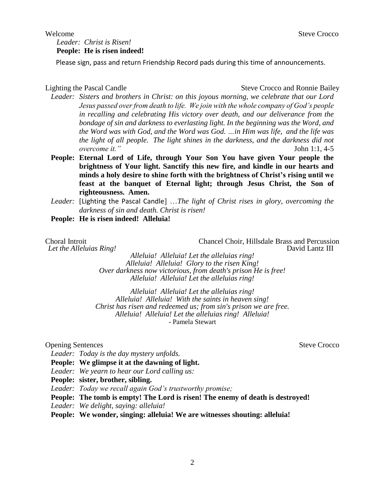#### *Leader: Christ is Risen!* **People: He is risen indeed!**

Please sign, pass and return Friendship Record pads during this time of announcements.

Lighting the Pascal Candle Steve Crocco and Ronnie Bailey

- *Leader: Sisters and brothers in Christ: on this joyous morning, we celebrate that our Lord Jesus passed over from death to life. We join with the whole company of God's people in recalling and celebrating His victory over death, and our deliverance from the bondage of sin and darkness to everlasting light. In the beginning was the Word, and the Word was with God, and the Word was God. …in Him was life, and the life was the light of all people. The light shines in the darkness, and the darkness did not overcome it."* John 1:1, 4-5
- **People: Eternal Lord of Life, through Your Son You have given Your people the brightness of Your light. Sanctify this new fire, and kindle in our hearts and minds a holy desire to shine forth with the brightness of Christ's rising until we feast at the banquet of Eternal light; through Jesus Christ, the Son of righteousness. Amen.**
- *Leader:* [Lighting the Pascal Candle] …*The light of Christ rises in glory, overcoming the darkness of sin and death. Christ is risen!*
- **People: He is risen indeed! Alleluia!**

Let the Alleluias Ring!

Choral Introit Choir, Hillsdale Brass and Percussion<br> *Let the Alleluias Ring!* Chancel Choir, Hillsdale Brass and Percussion<br>
David Lantz III

*Alleluia! Alleluia! Let the alleluias ring! Alleluia! Alleluia! Glory to the risen King! Over darkness now victorious, from death's prison He is free! Alleluia! Alleluia! Let the alleluias ring!*

*Alleluia! Alleluia! Let the alleluias ring! Alleluia! Alleluia! With the saints in heaven sing! Christ has risen and redeemed us; from sin's prison we are free. Alleluia! Alleluia! Let the alleluias ring! Alleluia!* - Pamela Stewart

#### Opening Sentences Steve Crocco

*Leader: Today is the day mystery unfolds.*

- **People: We glimpse it at the dawning of light.**
- *Leader: We yearn to hear our Lord calling us:*
- **People: sister, brother, sibling.**
- *Leader: Today we recall again God's trustworthy promise;*
- **People: The tomb is empty! The Lord is risen! The enemy of death is destroyed!**
- *Leader: We delight, saying: alleluia!*

**People: We wonder, singing: alleluia! We are witnesses shouting: alleluia!**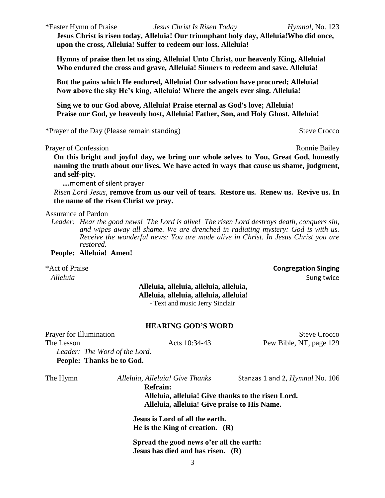3

\*Easter Hymn of Praise *Jesus Christ Is Risen Today Hymnal,* No. 123

**Jesus Christ is risen today, Alleluia! Our triumphant holy day, Alleluia!Who did once, upon the cross, Alleluia! Suffer to redeem our loss. Alleluia!**

**Hymns of praise then let us sing, Alleluia! Unto Christ, our heavenly King, Alleluia! Who endured the cross and grave, Alleluia! Sinners to redeem and save. Alleluia!**

**But the pains which He endured, Alleluia! Our salvation have procured; Alleluia! Now above the sky He's king, Alleluia! Where the angels ever sing. Alleluia!**

**Sing we to our God above, Alleluia! Praise eternal as God's love; Alleluia! Praise our God, ye heavenly host, Alleluia! Father, Son, and Holy Ghost. Alleluia!**

\*Prayer of the Day (Please remain standing) Steve Crocco

Prayer of Confession **Ronnie Bailey** Ronnie Bailey

**On this bright and joyful day, we bring our whole selves to You, Great God, honestly naming the truth about our lives. We have acted in ways that cause us shame, judgment, and self-pity.**

 **….**moment of silent prayer

*Risen Lord Jesus,* **remove from us our veil of tears. Restore us. Renew us. Revive us. In the name of the risen Christ we pray.** 

Assurance of Pardon

*Leader: Hear the good news! The Lord is alive! The risen Lord destroys death, conquers sin, and wipes away all shame. We are drenched in radiating mystery: God is with us. Receive the wonderful news: You are made alive in Christ. In Jesus Christ you are restored.*

**People: Alleluia! Amen!**

\*Act of Praise **Congregation Singing**

#### **Alleluia, alleluia, alleluia, alleluia, Alleluia, alleluia, alleluia, alleluia!** - Text and music Jerry Sinclair

#### **HEARING GOD'S WORD**

Prayer for Illumination Steve Crocco The Lesson **Acts 10:34-43** Pew Bible, NT, page 129 *Leader: The Word of the Lord.*

**People: Thanks be to God.**

The Hymn *Alleluia, Alleluia! Give Thanks* Stanzas 1 and 2, *Hymnal* No. 106

**Refrain: Alleluia, alleluia! Give thanks to the risen Lord. Alleluia, alleluia! Give praise to His Name.**

**Jesus is Lord of all the earth. He is the King of creation. (R)**

**Spread the good news o'er all the earth: Jesus has died and has risen. (R)**

*Alleluia* Sung twice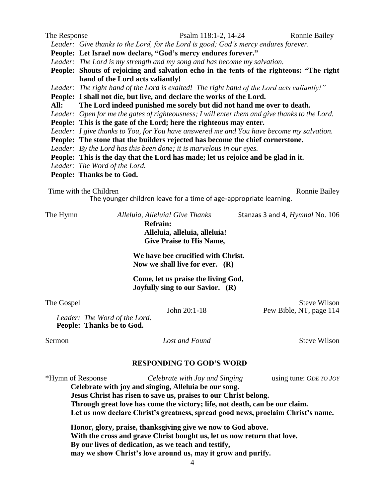| The Response | Psalm 118:1-2, 14-24                                                                           | <b>Ronnie Bailey</b> |  |  |
|--------------|------------------------------------------------------------------------------------------------|----------------------|--|--|
|              | Leader: Give thanks to the Lord, for the Lord is good; God's mercy endures forever.            |                      |  |  |
|              | People: Let Israel now declare, "God's mercy endures forever."                                 |                      |  |  |
|              | Leader: The Lord is my strength and my song and has become my salvation.                       |                      |  |  |
|              | People: Shouts of rejoicing and salvation echo in the tents of the righteous: "The right       |                      |  |  |
|              | hand of the Lord acts valiantly!                                                               |                      |  |  |
|              | Leader: The right hand of the Lord is exalted! The right hand of the Lord acts valiantly!"     |                      |  |  |
|              | People: I shall not die, but live, and declare the works of the Lord.                          |                      |  |  |
| All:         | The Lord indeed punished me sorely but did not hand me over to death.                          |                      |  |  |
|              | Leader: Open for me the gates of righteousness; I will enter them and give thanks to the Lord. |                      |  |  |
|              | People: This is the gate of the Lord; here the righteous may enter.                            |                      |  |  |
|              | Leader: I give thanks to You, for You have answered me and You have become my salvation.       |                      |  |  |
|              | People: The stone that the builders rejected has become the chief cornerstone.                 |                      |  |  |
|              | Leader: By the Lord has this been done; it is marvelous in our eyes.                           |                      |  |  |
|              | People: This is the day that the Lord has made; let us rejoice and be glad in it.              |                      |  |  |
|              | Leader: The Word of the Lord.                                                                  |                      |  |  |
|              | People: Thanks be to God.                                                                      |                      |  |  |

#### Time with the Children Ronnie Bailey Ronnie Bailey

The younger children leave for a time of age-appropriate learning.

The Hymn *Alleluia, Alleluia! Give Thanks* Stanzas 3 and 4, *Hymnal* No. 106 **Refrain: Alleluia, alleluia, alleluia!**

**Give Praise to His Name,**

**We have bee crucified with Christ. Now we shall live for ever. (R)**

**Come, let us praise the living God, Joyfully sing to our Savior. (R)**

The Gospel Steve Wilson<br>
John 20:1-18 Pew Bible, NT, page 114 Pew Bible, NT, page 114

*Leader: The Word of the Lord.* **People: Thanks be to God.**

Sermon *Lost and Found* Steve Wilson

## **RESPONDING TO GOD'S WORD**

\*Hymn of Response *Celebrate with Joy and Singing* using tune: *ODE TO JOY* **Celebrate with joy and singing, Alleluia be our song. Jesus Christ has risen to save us, praises to our Christ belong. Through great love has come the victory; life, not death, can be our claim. Let us now declare Christ's greatness, spread good news, proclaim Christ's name. Honor, glory, praise, thanksgiving give we now to God above.**

**With the cross and grave Christ bought us, let us now return that love. By our lives of dedication, as we teach and testify, may we show Christ's love around us, may it grow and purify.**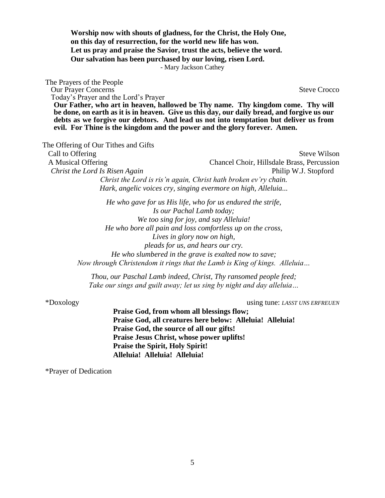**Worship now with shouts of gladness, for the Christ, the Holy One, on this day of resurrection, for the world new life has won. Let us pray and praise the Savior, trust the acts, believe the word. Our salvation has been purchased by our loving, risen Lord.**

- Mary Jackson Cathey

The Prayers of the People **Our Prayer Concerns** Steve Crocco Today's Prayer and the Lord's Prayer **Our Father, who art in heaven, hallowed be Thy name. Thy kingdom come. Thy will be done, on earth as it is in heaven. Give us this day, our daily bread, and forgive us our debts as we forgive our debtors. And lead us not into temptation but deliver us from evil. For Thine is the kingdom and the power and the glory forever. Amen.**

The Offering of Our Tithes and Gifts

Call to Offering Steve Wilson A Musical Offering Chancel Choir, Hillsdale Brass, Percussion *Christ the Lord Is Risen Again* Philip W.J. Stopford *Christ the Lord is ris'n again, Christ hath broken ev'ry chain. Hark, angelic voices cry, singing evermore on high, Alleluia...*

> *He who gave for us His life, who for us endured the strife, Is our Pachal Lamb today; We too sing for joy, and say Alleluia! He who bore all pain and loss comfortless up on the cross, Lives in glory now on high, pleads for us, and hears our cry. He who slumbered in the grave is exalted now to save; Now through Christendom it rings that the Lamb is King of kings. Alleluia…*

*Thou, our Paschal Lamb indeed, Christ, Thy ransomed people feed; Take our sings and guilt away; let us sing by night and day alleluia…*

\*Doxology using tune: *LASST UNS ERFREUEN*

**Praise God, from whom all blessings flow; Praise God, all creatures here below: Alleluia! Alleluia! Praise God, the source of all our gifts! Praise Jesus Christ, whose power uplifts! Praise the Spirit, Holy Spirit! Alleluia! Alleluia! Alleluia!**

\*Prayer of Dedication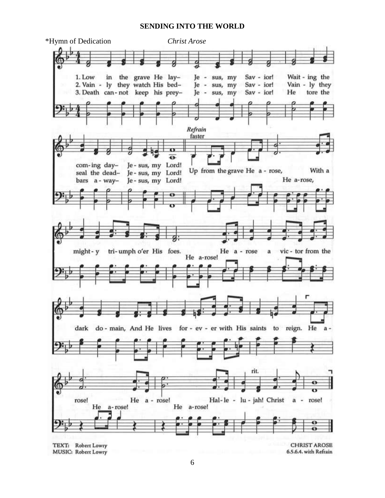#### **SENDING INTO THE WORLD**



6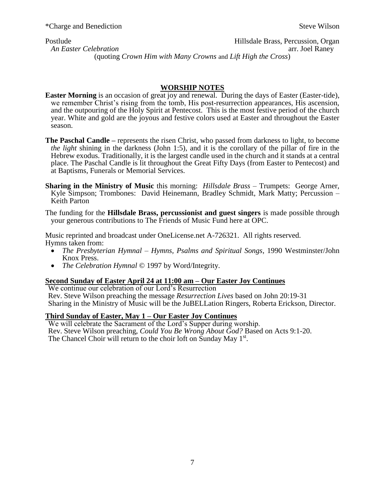Postlude Hillsdale Brass, Percussion, Organ An Easter Celebration arc. Joel Raney **An Easter Celebration** (quoting *Crown Him with Many Crowns* and *Lift High the Cross*)

#### **WORSHIP NOTES**

- **Easter Morning** is an occasion of great joy and renewal. During the days of Easter (Easter-tide), we remember Christ's rising from the tomb, His post-resurrection appearances, His ascension, and the outpouring of the Holy Spirit at Pentecost. This is the most festive period of the church year. White and gold are the joyous and festive colors used at Easter and throughout the Easter season.
- **The Paschal Candle –** represents the risen Christ, who passed from darkness to light, to become *the light* shining in the darkness (John 1:5), and it is the corollary of the pillar of fire in the Hebrew exodus. Traditionally, it is the largest candle used in the church and it stands at a central place. The Paschal Candle is lit throughout the Great Fifty Days (from Easter to Pentecost) and at Baptisms, Funerals or Memorial Services.
- **Sharing in the Ministry of Music** this morning: *Hillsdale Brass* Trumpets: George Arner, Kyle Simpson; Trombones: David Heinemann, Bradley Schmidt, Mark Matty; Percussion – Keith Parton

The funding for the **Hillsdale Brass, percussionist and guest singers** is made possible through your generous contributions to The Friends of Music Fund here at OPC.

Music reprinted and broadcast under OneLicense.net A-726321. All rights reserved. Hymns taken from:

- *The Presbyterian Hymnal Hymns, Psalms and Spiritual Songs*, 1990 Westminster/John Knox Press.
- *The Celebration Hymnal* © 1997 by Word/Integrity.

#### **Second Sunday of Easter April 24 at 11:00 am – Our Easter Joy Continues**

We continue our celebration of our Lord's Resurrection Rev. Steve Wilson preaching the message *Resurrection Lives* based on John 20:19-31 Sharing in the Ministry of Music will be the JuBELLation Ringers, Roberta Erickson, Director.

#### **Third Sunday of Easter, May 1 – Our Easter Joy Continues**

We will celebrate the Sacrament of the Lord's Supper during worship. Rev. Steve Wilson preaching, *Could You Be Wrong About God?* Based on Acts 9:1-20. The Chancel Choir will return to the choir loft on Sunday May  $1^{st}$ .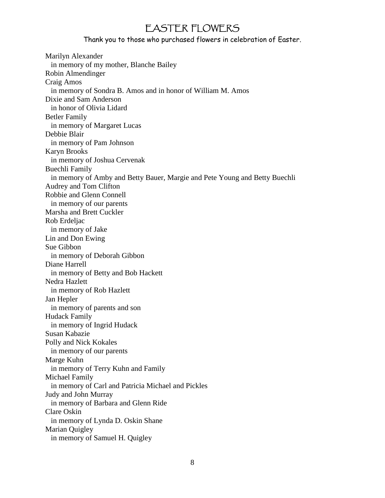# EASTER FLOWERS

Thank you to those who purchased flowers in celebration of Easter.

Marilyn Alexander in memory of my mother, Blanche Bailey Robin Almendinger Craig Amos in memory of Sondra B. Amos and in honor of William M. Amos Dixie and Sam Anderson in honor of Olivia Lidard Betler Family in memory of Margaret Lucas Debbie Blair in memory of Pam Johnson Karyn Brooks in memory of Joshua Cervenak Buechli Family in memory of Amby and Betty Bauer, Margie and Pete Young and Betty Buechli Audrey and Tom Clifton Robbie and Glenn Connell in memory of our parents Marsha and Brett Cuckler Rob Erdeljac in memory of Jake Lin and Don Ewing Sue Gibbon in memory of Deborah Gibbon Diane Harrell in memory of Betty and Bob Hackett Nedra Hazlett in memory of Rob Hazlett Jan Hepler in memory of parents and son Hudack Family in memory of Ingrid Hudack Susan Kabazie Polly and Nick Kokales in memory of our parents Marge Kuhn in memory of Terry Kuhn and Family Michael Family in memory of Carl and Patricia Michael and Pickles Judy and John Murray in memory of Barbara and Glenn Ride Clare Oskin in memory of Lynda D. Oskin Shane Marian Quigley in memory of Samuel H. Quigley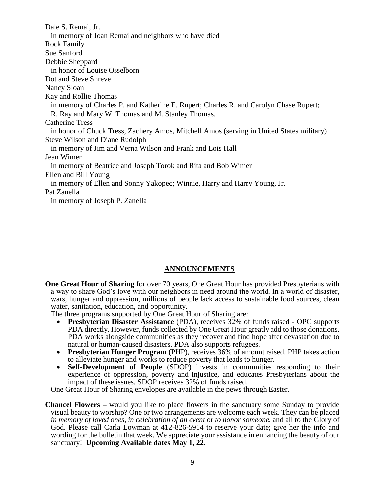Dale S. Remai, Jr. in memory of Joan Remai and neighbors who have died Rock Family Sue Sanford Debbie Sheppard in honor of Louise Osselborn Dot and Steve Shreve Nancy Sloan Kay and Rollie Thomas in memory of Charles P. and Katherine E. Rupert; Charles R. and Carolyn Chase Rupert; R. Ray and Mary W. Thomas and M. Stanley Thomas. Catherine Tress in honor of Chuck Tress, Zachery Amos, Mitchell Amos (serving in United States military) Steve Wilson and Diane Rudolph in memory of Jim and Verna Wilson and Frank and Lois Hall Jean Wimer in memory of Beatrice and Joseph Torok and Rita and Bob Wimer Ellen and Bill Young in memory of Ellen and Sonny Yakopec; Winnie, Harry and Harry Young, Jr. Pat Zanella in memory of Joseph P. Zanella

### **ANNOUNCEMENTS**

**One Great Hour of Sharing** for over 70 years, One Great Hour has provided Presbyterians with a way to share God's love with our neighbors in need around the world. In a world of disaster, wars, hunger and oppression, millions of people lack access to sustainable food sources, clean water, sanitation, education, and opportunity.

The three programs supported by One Great Hour of Sharing are:

- **Presbyterian Disaster Assistance** (PDA), receives 32% of funds raised OPC supports PDA directly. However, funds collected by One Great Hour greatly add to those donations. PDA works alongside communities as they recover and find hope after devastation due to natural or human-caused disasters. PDA also supports refugees.
- **Presbyterian Hunger Program** (PHP), receives 36% of amount raised. PHP takes action to alleviate hunger and works to reduce poverty that leads to hunger.
- **Self-Development of People** (SDOP) invests in communities responding to their experience of oppression, poverty and injustice, and educates Presbyterians about the impact of these issues. SDOP receives 32% of funds raised.

One Great Hour of Sharing envelopes are available in the pews through Easter.

**Chancel Flowers –** would you like to place flowers in the sanctuary some Sunday to provide visual beauty to worship? One or two arrangements are welcome each week. They can be placed *in memory of loved ones*, *in celebration of an event* or *to honor someone*, and all to the Glory of God. Please call Carla Lowman at 412-826-5914 to reserve your date; give her the info and wording for the bulletin that week. We appreciate your assistance in enhancing the beauty of our sanctuary! **Upcoming Available dates May 1, 22.**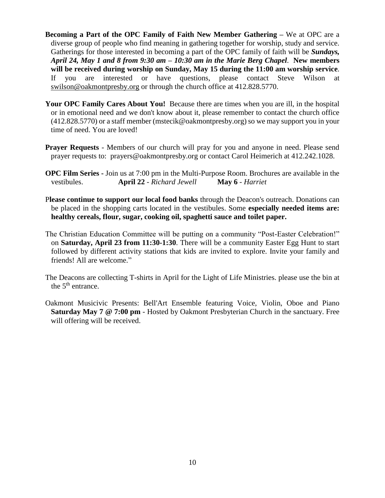- **Becoming a Part of the OPC Family of Faith New Member Gathering –** We at OPC are a diverse group of people who find meaning in gathering together for worship, study and service. Gatherings for those interested in becoming a part of the OPC family of faith will be *Sundays, April 24, May 1 and 8 from 9:30 am – 10:30 am in the Marie Berg Chapel*. **New members will be received during worship on Sunday, May 15 during the 11:00 am worship service**. If you are interested or have questions, please contact Steve Wilson at [swilson@oakmontpresby.org](mailto:swilson@oakmontpresby.org) or through the church office at 412.828.5770.
- Your OPC Family Cares About You! Because there are times when you are ill, in the hospital or in emotional need and we don't know about it, please remember to contact the church office (412.828.5770) or a staff member [\(mstecik@oakmontpresby.org\)](mailto:mstecik@oakmontpresby.org) so we may support you in your time of need. You are loved!
- **Prayer Requests** Members of our church will pray for you and anyone in need. Please send prayer requests to: [prayers@oakmontpresby.org](mailto:prayers@oakmontpresby.org) or contact Carol Heimerich at 412.242.1028.
- **OPC Film Series -** Join us at 7:00 pm in the Multi-Purpose Room. Brochures are available in the vestibules. **April 22** *- Richard Jewell* **May 6** *- Harriet*
- P**lease continue to support our local food banks** through the Deacon's outreach. Donations can be placed in the shopping carts located in the vestibules. Some **especially needed items are: healthy cereals, flour, sugar, cooking oil, spaghetti sauce and toilet paper.**
- The Christian Education Committee will be putting on a community "Post-Easter Celebration!" on **Saturday, April 23 from 11:30-1:30**. There will be a community Easter Egg Hunt to start followed by different activity stations that kids are invited to explore. Invite your family and friends! All are welcome."
- The Deacons are collecting T-shirts in April for the Light of Life Ministries. please use the bin at the  $5<sup>th</sup>$  entrance.
- Oakmont Musicivic Presents: Bell'Art Ensemble featuring Voice, Violin, Oboe and Piano **Saturday May 7 @ 7:00 pm** - Hosted by Oakmont Presbyterian Church in the sanctuary. Free will offering will be received.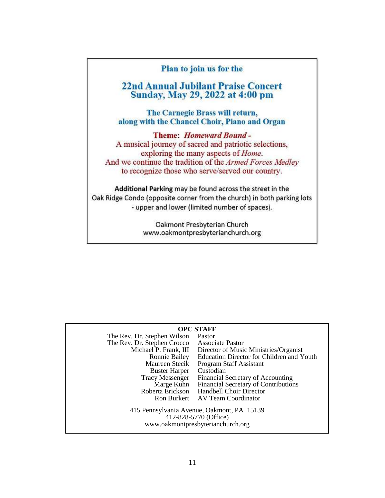## Plan to join us for the

# **22nd Annual Jubilant Praise Concert** Sunday, May 29, 2022 at 4:00 pm

The Carnegie Brass will return, along with the Chancel Choir, Piano and Organ

**Theme: Homeward Bound -**A musical journey of sacred and patriotic selections, exploring the many aspects of *Home*. And we continue the tradition of the Armed Forces Medley to recognize those who serve/served our country.

Additional Parking may be found across the street in the Oak Ridge Condo (opposite corner from the church) in both parking lots - upper and lower (limited number of spaces).

> Oakmont Presbyterian Church www.oakmontpresbyterianchurch.org

| <b>OPC STAFF</b>                                                                                         |                                                 |  |  |  |
|----------------------------------------------------------------------------------------------------------|-------------------------------------------------|--|--|--|
| The Rev. Dr. Stephen Wilson                                                                              | Pastor                                          |  |  |  |
| The Rev. Dr. Stephen Crocco                                                                              | <b>Associate Pastor</b>                         |  |  |  |
| Michael P. Frank, III                                                                                    | Director of Music Ministries/Organist           |  |  |  |
| Ronnie Bailey                                                                                            | Education Director for Children and Youth       |  |  |  |
| Maureen Stecik                                                                                           | Program Staff Assistant                         |  |  |  |
| <b>Buster Harper</b>                                                                                     | Custodian                                       |  |  |  |
| <b>Tracy Messenger</b>                                                                                   | Financial Secretary of Accounting               |  |  |  |
|                                                                                                          | Marge Kuhn Financial Secretary of Contributions |  |  |  |
|                                                                                                          | Roberta Erickson Handbell Choir Director        |  |  |  |
|                                                                                                          | Ron Burkert AV Team Coordinator                 |  |  |  |
| 415 Pennsylvania Avenue, Oakmont, PA 15139<br>412-828-5770 (Office)<br>www.oakmontpresbyterianchurch.org |                                                 |  |  |  |